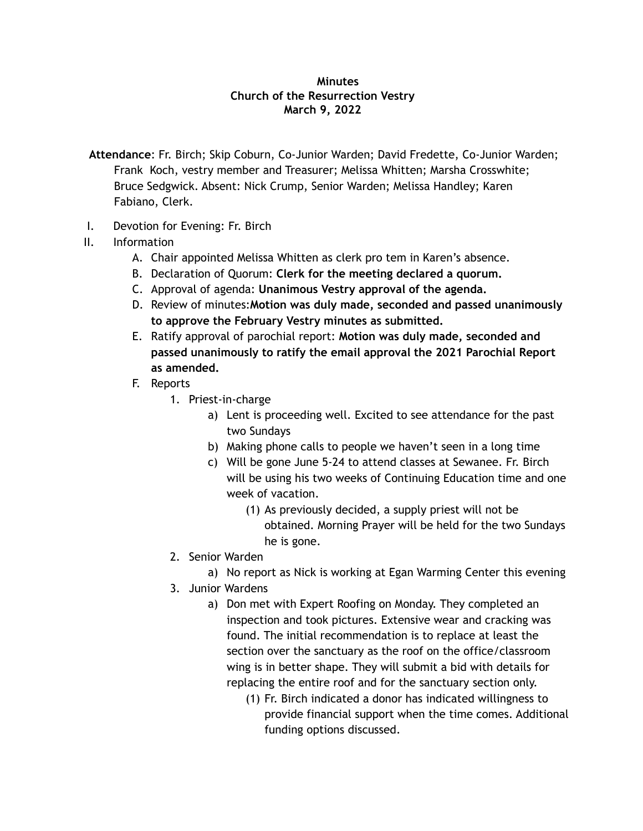## **Minutes Church of the Resurrection Vestry March 9, 2022**

- **Attendance**: Fr. Birch; Skip Coburn, Co-Junior Warden; David Fredette, Co-Junior Warden; Frank Koch, vestry member and Treasurer; Melissa Whitten; Marsha Crosswhite; Bruce Sedgwick. Absent: Nick Crump, Senior Warden; Melissa Handley; Karen Fabiano, Clerk.
- I. Devotion for Evening: Fr. Birch
- II. Information
	- A. Chair appointed Melissa Whitten as clerk pro tem in Karen's absence.
	- B. Declaration of Quorum: **Clerk for the meeting declared a quorum.**
	- C. Approval of agenda: **Unanimous Vestry approval of the agenda.**
	- D. Review of minutes:**Motion was duly made, seconded and passed unanimously to approve the February Vestry minutes as submitted.**
	- E. Ratify approval of parochial report: **Motion was duly made, seconded and passed unanimously to ratify the email approval the 2021 Parochial Report as amended.**
	- F. Reports
		- 1. Priest-in-charge
			- a) Lent is proceeding well. Excited to see attendance for the past two Sundays
			- b) Making phone calls to people we haven't seen in a long time
			- c) Will be gone June 5-24 to attend classes at Sewanee. Fr. Birch will be using his two weeks of Continuing Education time and one week of vacation.
				- (1) As previously decided, a supply priest will not be obtained. Morning Prayer will be held for the two Sundays he is gone.
		- 2. Senior Warden
			- a) No report as Nick is working at Egan Warming Center this evening
		- 3. Junior Wardens
			- a) Don met with Expert Roofing on Monday. They completed an inspection and took pictures. Extensive wear and cracking was found. The initial recommendation is to replace at least the section over the sanctuary as the roof on the office/classroom wing is in better shape. They will submit a bid with details for replacing the entire roof and for the sanctuary section only.
				- (1) Fr. Birch indicated a donor has indicated willingness to provide financial support when the time comes. Additional funding options discussed.